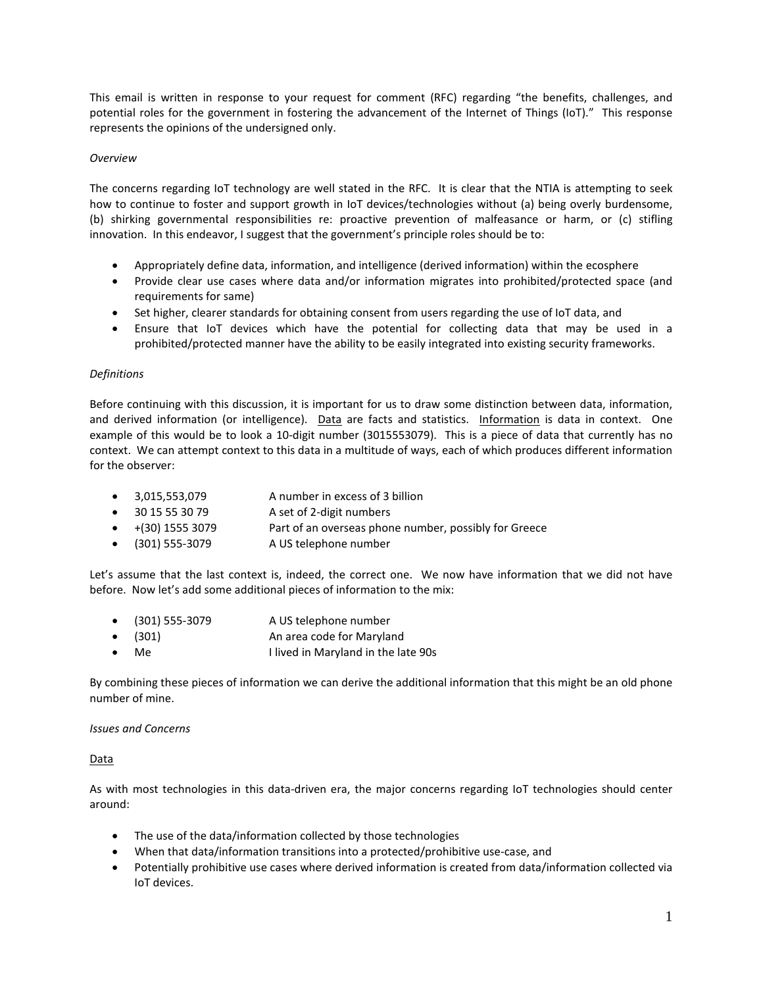This email is written in response to your request for comment (RFC) regarding "the benefits, challenges, and potential roles for the government in fostering the advancement of the Internet of Things (IoT)." This response represents the opinions of the undersigned only.

# *Overview*

The concerns regarding IoT technology are well stated in the RFC. It is clear that the NTIA is attempting to seek how to continue to foster and support growth in IoT devices/technologies without (a) being overly burdensome, (b) shirking governmental responsibilities re: proactive prevention of malfeasance or harm, or (c) stifling innovation. In this endeavor, I suggest that the government's principle roles should be to:

- Appropriately define data, information, and intelligence (derived information) within the ecosphere
- Provide clear use cases where data and/or information migrates into prohibited/protected space (and requirements for same)
- Set higher, clearer standards for obtaining consent from users regarding the use of IoT data, and
- Ensure that IoT devices which have the potential for collecting data that may be used in a prohibited/protected manner have the ability to be easily integrated into existing security frameworks.

## *Definitions*

Before continuing with this discussion, it is important for us to draw some distinction between data, information, and derived information (or intelligence). Data are facts and statistics. Information is data in context. One example of this would be to look a 10-digit number (3015553079). This is a piece of data that currently has no context. We can attempt context to this data in a multitude of ways, each of which produces different information for the observer:

- 3,015,553,079 A number in excess of 3 billion
- 30 15 55 30 79 A set of 2-digit numbers
- +(30) 1555 3079 Part of an overseas phone number, possibly for Greece
- (301) 555-3079 A US telephone number

Let's assume that the last context is, indeed, the correct one. We now have information that we did not have before. Now let's add some additional pieces of information to the mix:

- (301) 555-3079 A US telephone number
- (301) An area code for Maryland
- Me I lived in Maryland in the late 90s

By combining these pieces of information we can derive the additional information that this might be an old phone number of mine.

## *Issues and Concerns*

#### Data

As with most technologies in this data-driven era, the major concerns regarding IoT technologies should center around:

- The use of the data/information collected by those technologies
- When that data/information transitions into a protected/prohibitive use-case, and
- Potentially prohibitive use cases where derived information is created from data/information collected via IoT devices.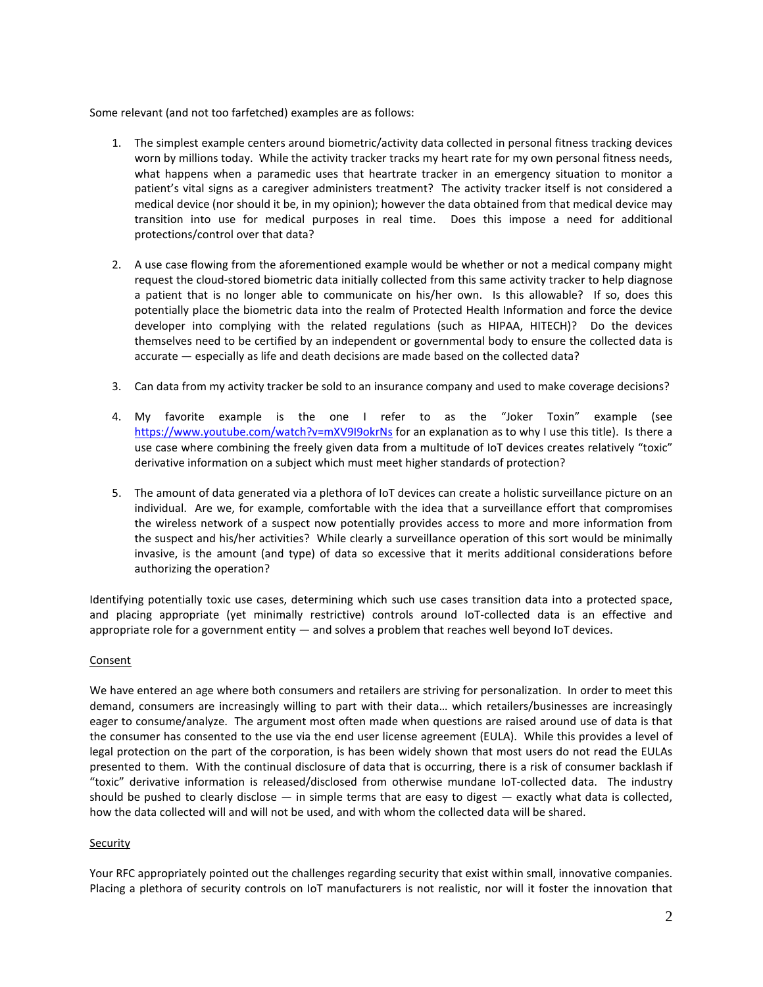Some relevant (and not too farfetched) examples are as follows:

- 1. The simplest example centers around biometric/activity data collected in personal fitness tracking devices worn by millions today. While the activity tracker tracks my heart rate for my own personal fitness needs, what happens when a paramedic uses that heartrate tracker in an emergency situation to monitor a patient's vital signs as a caregiver administers treatment? The activity tracker itself is not considered a medical device (nor should it be, in my opinion); however the data obtained from that medical device may transition into use for medical purposes in real time. Does this impose a need for additional protections/control over that data?
- 2. A use case flowing from the aforementioned example would be whether or not a medical company might request the cloud-stored biometric data initially collected from this same activity tracker to help diagnose a patient that is no longer able to communicate on his/her own. Is this allowable? If so, does this potentially place the biometric data into the realm of Protected Health Information and force the device developer into complying with the related regulations (such as HIPAA, HITECH)? Do the devices themselves need to be certified by an independent or governmental body to ensure the collected data is accurate — especially as life and death decisions are made based on the collected data?
- 3. Can data from my activity tracker be sold to an insurance company and used to make coverage decisions?
- 4. My favorite example is the one I refer to as the "Joker Toxin" example (see <https://www.youtube.com/watch?v=mXV9I9okrNs> for an explanation as to why I use this title). Is there a use case where combining the freely given data from a multitude of IoT devices creates relatively "toxic" derivative information on a subject which must meet higher standards of protection?
- 5. The amount of data generated via a plethora of IoT devices can create a holistic surveillance picture on an individual. Are we, for example, comfortable with the idea that a surveillance effort that compromises the wireless network of a suspect now potentially provides access to more and more information from the suspect and his/her activities? While clearly a surveillance operation of this sort would be minimally invasive, is the amount (and type) of data so excessive that it merits additional considerations before authorizing the operation?

Identifying potentially toxic use cases, determining which such use cases transition data into a protected space, and placing appropriate (yet minimally restrictive) controls around IoT-collected data is an effective and appropriate role for a government entity — and solves a problem that reaches well beyond IoT devices.

#### Consent

We have entered an age where both consumers and retailers are striving for personalization. In order to meet this demand, consumers are increasingly willing to part with their data… which retailers/businesses are increasingly eager to consume/analyze. The argument most often made when questions are raised around use of data is that the consumer has consented to the use via the end user license agreement (EULA). While this provides a level of legal protection on the part of the corporation, is has been widely shown that most users do not read the EULAs presented to them. With the continual disclosure of data that is occurring, there is a risk of consumer backlash if "toxic" derivative information is released/disclosed from otherwise mundane IoT-collected data. The industry should be pushed to clearly disclose  $-$  in simple terms that are easy to digest  $-$  exactly what data is collected, how the data collected will and will not be used, and with whom the collected data will be shared.

#### **Security**

Your RFC appropriately pointed out the challenges regarding security that exist within small, innovative companies. Placing a plethora of security controls on IoT manufacturers is not realistic, nor will it foster the innovation that